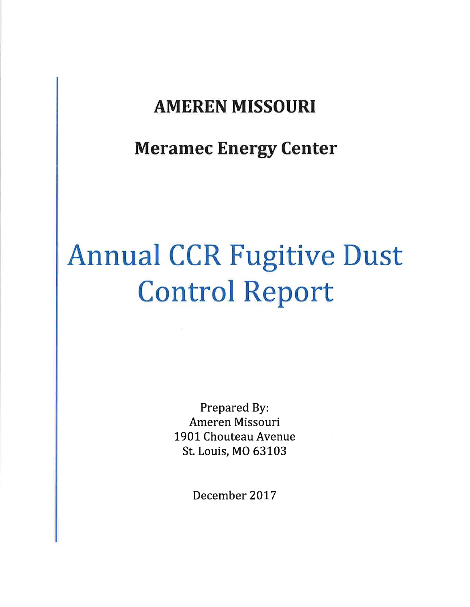# AMEREN MISSOURI

Meramec Energy Center

# Annual CCR Fugitive Dust Control Report

Prepared By: Ameren Missouri 1901 Chouteau Avenue St. Louis, MO 63103

December 2017